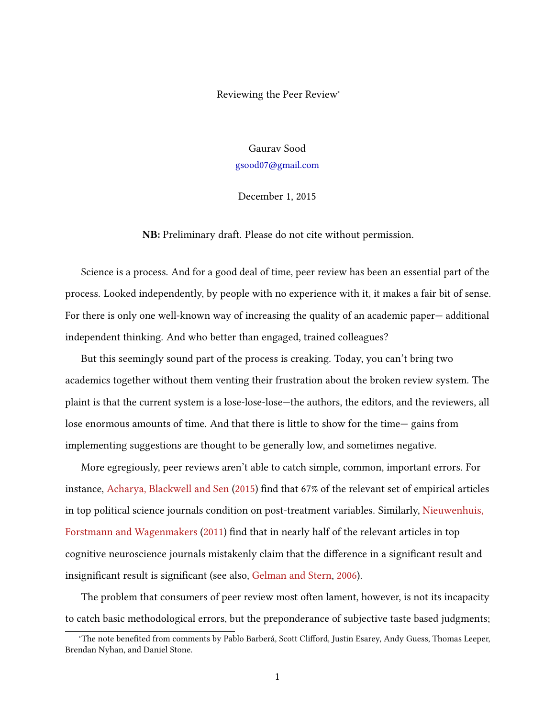Reviewing the Peer Review<sup>∗</sup>

Gaurav Sood [gsood07@gmail.com](mailto:gsood07@gmail.com)

December 1, 2015

NB: Preliminary draft. Please do not cite without permission.

Science is a process. And for a good deal of time, peer review has been an essential part of the process. Looked independently, by people with no experience with it, it makes a fair bit of sense. For there is only one well-known way of increasing the quality of an academic paper— additional independent thinking. And who better than engaged, trained colleagues?

But this seemingly sound part of the process is creaking. Today, you can't bring two academics together without them venting their frustration about the broken review system. The plaint is that the current system is a lose-lose-lose—the authors, the editors, and the reviewers, all lose enormous amounts of time. And that there is little to show for the time— gains from implementing suggestions are thought to be generally low, and sometimes negative.

More egregiously, peer reviews aren't able to catch simple, common, important errors. For instance, [Acharya, Blackwell and Sen](#page-7-0) [\(2015\)](#page-7-0) find that 67% of the relevant set of empirical articles in top political science journals condition on post-treatment variables. Similarly, [Nieuwenhuis,](#page-7-1) [Forstmann and Wagenmakers](#page-7-1) [\(2011\)](#page-7-1) find that in nearly half of the relevant articles in top cognitive neuroscience journals mistakenly claim that the difference in a significant result and insignificant result is significant (see also, [Gelman and Stern,](#page-7-2) [2006\)](#page-7-2).

The problem that consumers of peer review most often lament, however, is not its incapacity to catch basic methodological errors, but the preponderance of subjective taste based judgments;

<sup>\*</sup>The note benefited from comments by Pablo Barberá, Scott Clifford, Justin Esarey, Andy Guess, Thomas Leeper, Brendan Nyhan, and Daniel Stone.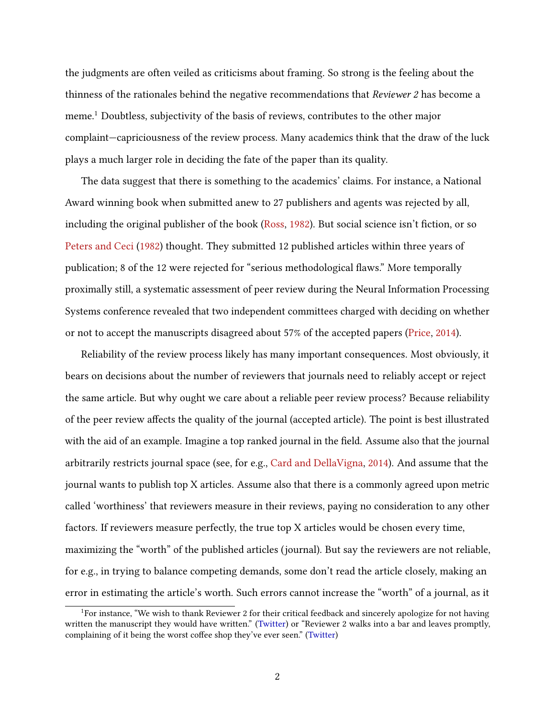the judgments are often veiled as criticisms about framing. So strong is the feeling about the thinness of the rationales behind the negative recommendations that Reviewer 2 has become a meme.<sup>1</sup> Doubtless, subjectivity of the basis of reviews, contributes to the other major complaint—capriciousness of the review process. Many academics think that the draw of the luck plays a much larger role in deciding the fate of the paper than its quality.

The data suggest that there is something to the academics' claims. For instance, a National Award winning book when submitted anew to 27 publishers and agents was rejected by all, including the original publisher of the book [\(Ross,](#page-8-0) [1982\)](#page-8-0). But social science isn't fiction, or so [Peters and Ceci](#page-8-1) [\(1982\)](#page-8-1) thought. They submitted 12 published articles within three years of publication; 8 of the 12 were rejected for "serious methodological flaws." More temporally proximally still, a systematic assessment of peer review during the Neural Information Processing Systems conference revealed that two independent committees charged with deciding on whether or not to accept the manuscripts disagreed about 57% of the accepted papers [\(Price,](#page-8-2) [2014\)](#page-8-2).

Reliability of the review process likely has many important consequences. Most obviously, it bears on decisions about the number of reviewers that journals need to reliably accept or reject the same article. But why ought we care about a reliable peer review process? Because reliability of the peer review affects the quality of the journal (accepted article). The point is best illustrated with the aid of an example. Imagine a top ranked journal in the field. Assume also that the journal arbitrarily restricts journal space (see, for e.g., [Card and DellaVigna,](#page-7-3) [2014\)](#page-7-3). And assume that the journal wants to publish top X articles. Assume also that there is a commonly agreed upon metric called 'worthiness' that reviewers measure in their reviews, paying no consideration to any other factors. If reviewers measure perfectly, the true top X articles would be chosen every time, maximizing the "worth" of the published articles (journal). But say the reviewers are not reliable, for e.g., in trying to balance competing demands, some don't read the article closely, making an error in estimating the article's worth. Such errors cannot increase the "worth" of a journal, as it

 $1$ For instance, "We wish to thank Reviewer 2 for their critical feedback and sincerely apologize for not having written the manuscript they would have written." [\(Twitter\)](https://twitter.com/AcademicsSay/status/553537841490587648) or "Reviewer 2 walks into a bar and leaves promptly, complaining of it being the worst coffee shop they've ever seen." [\(Twitter\)](https://twitter.com/AcademicsSay/status/667172052936343554)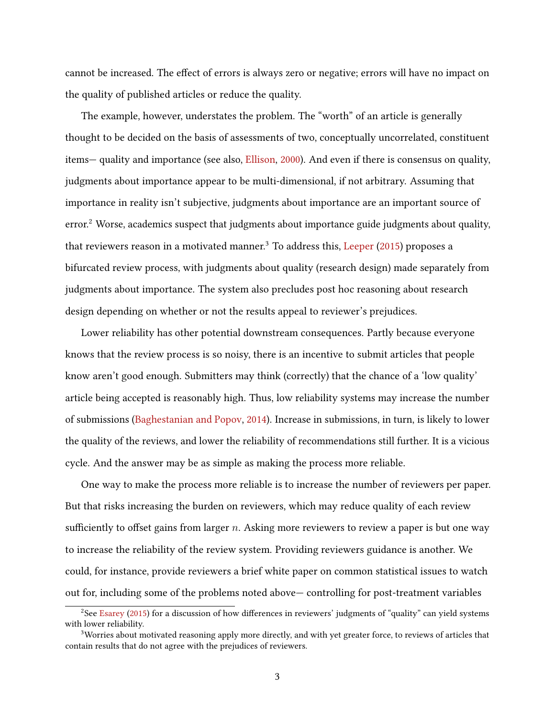cannot be increased. The effect of errors is always zero or negative; errors will have no impact on the quality of published articles or reduce the quality.

The example, however, understates the problem. The "worth" of an article is generally thought to be decided on the basis of assessments of two, conceptually uncorrelated, constituent items— quality and importance (see also, [Ellison,](#page-7-4) [2000\)](#page-7-4). And even if there is consensus on quality, judgments about importance appear to be multi-dimensional, if not arbitrary. Assuming that importance in reality isn't subjective, judgments about importance are an important source of error.<sup>2</sup> Worse, academics suspect that judgments about importance guide judgments about quality, that reviewers reason in a motivated manner.<sup>3</sup> To address this, [Leeper](#page-7-5)  $(2015)$  proposes a bifurcated review process, with judgments about quality (research design) made separately from judgments about importance. The system also precludes post hoc reasoning about research design depending on whether or not the results appeal to reviewer's prejudices.

Lower reliability has other potential downstream consequences. Partly because everyone knows that the review process is so noisy, there is an incentive to submit articles that people know aren't good enough. Submitters may think (correctly) that the chance of a 'low quality' article being accepted is reasonably high. Thus, low reliability systems may increase the number of submissions [\(Baghestanian and Popov,](#page-7-6) [2014\)](#page-7-6). Increase in submissions, in turn, is likely to lower the quality of the reviews, and lower the reliability of recommendations still further. It is a vicious cycle. And the answer may be as simple as making the process more reliable.

One way to make the process more reliable is to increase the number of reviewers per paper. But that risks increasing the burden on reviewers, which may reduce quality of each review sufficiently to offset gains from larger  $n$ . Asking more reviewers to review a paper is but one way to increase the reliability of the review system. Providing reviewers guidance is another. We could, for instance, provide reviewers a brief white paper on common statistical issues to watch out for, including some of the problems noted above— controlling for post-treatment variables

<sup>&</sup>lt;sup>2</sup>See [Esarey](#page-7-7) [\(2015\)](#page-7-7) for a discussion of how differences in reviewers' judgments of "quality" can yield systems with lower reliability.

<sup>&</sup>lt;sup>3</sup>Worries about motivated reasoning apply more directly, and with yet greater force, to reviews of articles that contain results that do not agree with the prejudices of reviewers.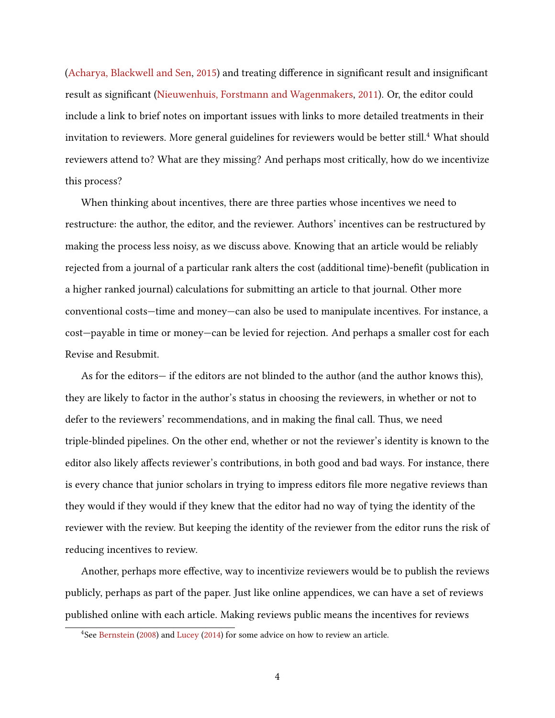[\(Acharya, Blackwell and Sen,](#page-7-0) [2015\)](#page-7-0) and treating difference in significant result and insignificant result as significant [\(Nieuwenhuis, Forstmann and Wagenmakers,](#page-7-1) [2011\)](#page-7-1). Or, the editor could include a link to brief notes on important issues with links to more detailed treatments in their invitation to reviewers. More general guidelines for reviewers would be better still.<sup>4</sup> What should reviewers attend to? What are they missing? And perhaps most critically, how do we incentivize this process?

When thinking about incentives, there are three parties whose incentives we need to restructure: the author, the editor, and the reviewer. Authors' incentives can be restructured by making the process less noisy, as we discuss above. Knowing that an article would be reliably rejected from a journal of a particular rank alters the cost (additional time)-benefit (publication in a higher ranked journal) calculations for submitting an article to that journal. Other more conventional costs—time and money—can also be used to manipulate incentives. For instance, a cost—payable in time or money—can be levied for rejection. And perhaps a smaller cost for each Revise and Resubmit.

As for the editors— if the editors are not blinded to the author (and the author knows this), they are likely to factor in the author's status in choosing the reviewers, in whether or not to defer to the reviewers' recommendations, and in making the final call. Thus, we need triple-blinded pipelines. On the other end, whether or not the reviewer's identity is known to the editor also likely affects reviewer's contributions, in both good and bad ways. For instance, there is every chance that junior scholars in trying to impress editors file more negative reviews than they would if they would if they knew that the editor had no way of tying the identity of the reviewer with the review. But keeping the identity of the reviewer from the editor runs the risk of reducing incentives to review.

Another, perhaps more effective, way to incentivize reviewers would be to publish the reviews publicly, perhaps as part of the paper. Just like online appendices, we can have a set of reviews published online with each article. Making reviews public means the incentives for reviews

<sup>&</sup>lt;sup>4</sup>See [Bernstein](#page-7-8) [\(2008\)](#page-7-8) and [Lucey](#page-7-9) [\(2014\)](#page-7-9) for some advice on how to review an article.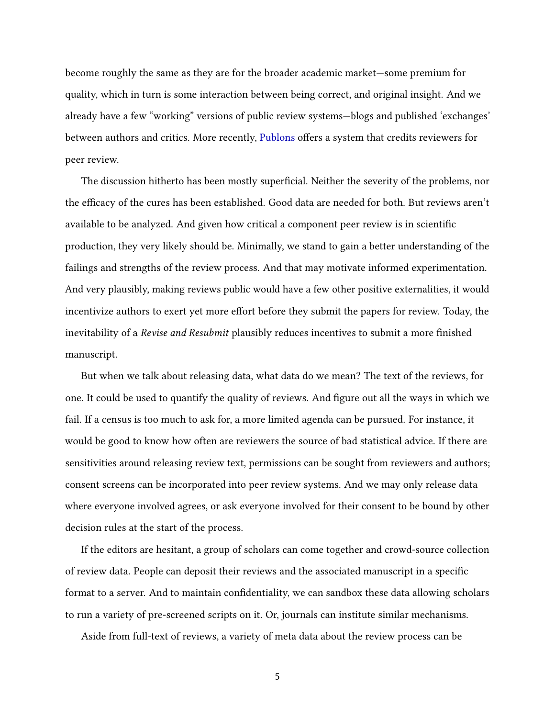become roughly the same as they are for the broader academic market—some premium for quality, which in turn is some interaction between being correct, and original insight. And we already have a few "working" versions of public review systems—blogs and published 'exchanges' between authors and critics. More recently, [Publons](https://publons.com/) offers a system that credits reviewers for peer review.

The discussion hitherto has been mostly superficial. Neither the severity of the problems, nor the efficacy of the cures has been established. Good data are needed for both. But reviews aren't available to be analyzed. And given how critical a component peer review is in scientific production, they very likely should be. Minimally, we stand to gain a better understanding of the failings and strengths of the review process. And that may motivate informed experimentation. And very plausibly, making reviews public would have a few other positive externalities, it would incentivize authors to exert yet more effort before they submit the papers for review. Today, the inevitability of a Revise and Resubmit plausibly reduces incentives to submit a more finished manuscript.

But when we talk about releasing data, what data do we mean? The text of the reviews, for one. It could be used to quantify the quality of reviews. And figure out all the ways in which we fail. If a census is too much to ask for, a more limited agenda can be pursued. For instance, it would be good to know how often are reviewers the source of bad statistical advice. If there are sensitivities around releasing review text, permissions can be sought from reviewers and authors; consent screens can be incorporated into peer review systems. And we may only release data where everyone involved agrees, or ask everyone involved for their consent to be bound by other decision rules at the start of the process.

If the editors are hesitant, a group of scholars can come together and crowd-source collection of review data. People can deposit their reviews and the associated manuscript in a specific format to a server. And to maintain confidentiality, we can sandbox these data allowing scholars to run a variety of pre-screened scripts on it. Or, journals can institute similar mechanisms.

Aside from full-text of reviews, a variety of meta data about the review process can be

5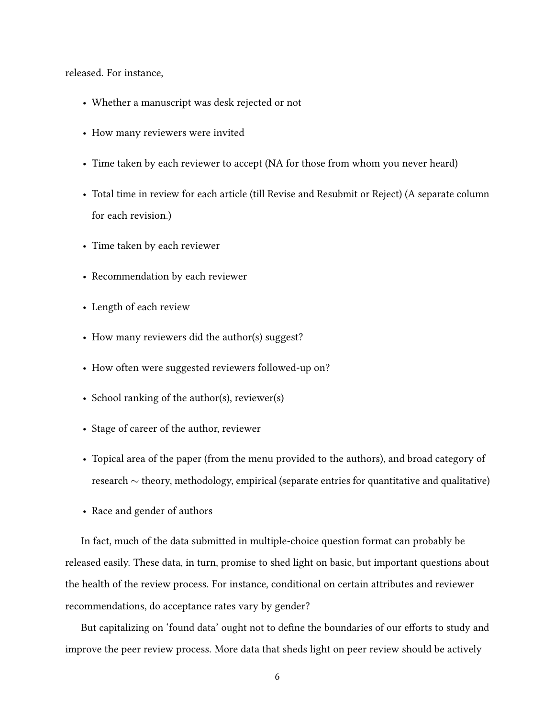released. For instance,

- Whether a manuscript was desk rejected or not
- How many reviewers were invited
- Time taken by each reviewer to accept (NA for those from whom you never heard)
- Total time in review for each article (till Revise and Resubmit or Reject) (A separate column for each revision.)
- Time taken by each reviewer
- Recommendation by each reviewer
- Length of each review
- How many reviewers did the author(s) suggest?
- How often were suggested reviewers followed-up on?
- School ranking of the author(s), reviewer(s)
- Stage of career of the author, reviewer
- Topical area of the paper (from the menu provided to the authors), and broad category of research ∼ theory, methodology, empirical (separate entries for quantitative and qualitative)
- Race and gender of authors

In fact, much of the data submitted in multiple-choice question format can probably be released easily. These data, in turn, promise to shed light on basic, but important questions about the health of the review process. For instance, conditional on certain attributes and reviewer recommendations, do acceptance rates vary by gender?

But capitalizing on 'found data' ought not to define the boundaries of our efforts to study and improve the peer review process. More data that sheds light on peer review should be actively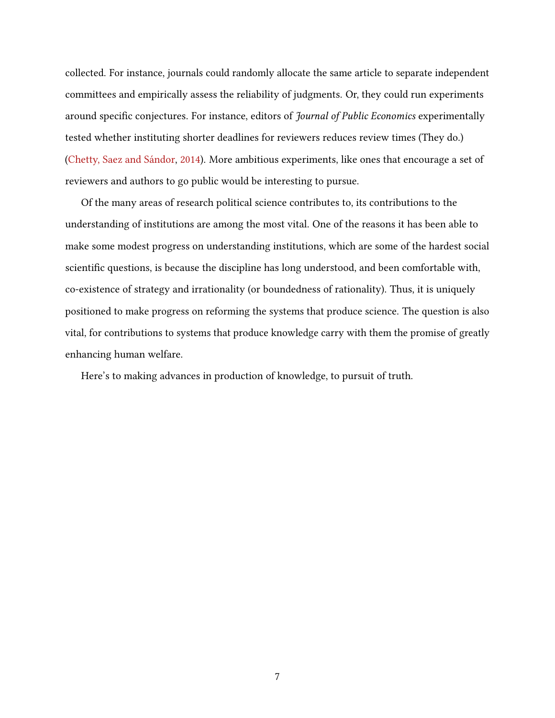collected. For instance, journals could randomly allocate the same article to separate independent committees and empirically assess the reliability of judgments. Or, they could run experiments around specific conjectures. For instance, editors of *Journal of Public Economics* experimentally tested whether instituting shorter deadlines for reviewers reduces review times (They do.) [\(Chetty, Saez and Sándor,](#page-7-10) [2014\)](#page-7-10). More ambitious experiments, like ones that encourage a set of reviewers and authors to go public would be interesting to pursue.

Of the many areas of research political science contributes to, its contributions to the understanding of institutions are among the most vital. One of the reasons it has been able to make some modest progress on understanding institutions, which are some of the hardest social scientific questions, is because the discipline has long understood, and been comfortable with, co-existence of strategy and irrationality (or boundedness of rationality). Thus, it is uniquely positioned to make progress on reforming the systems that produce science. The question is also vital, for contributions to systems that produce knowledge carry with them the promise of greatly enhancing human welfare.

Here's to making advances in production of knowledge, to pursuit of truth.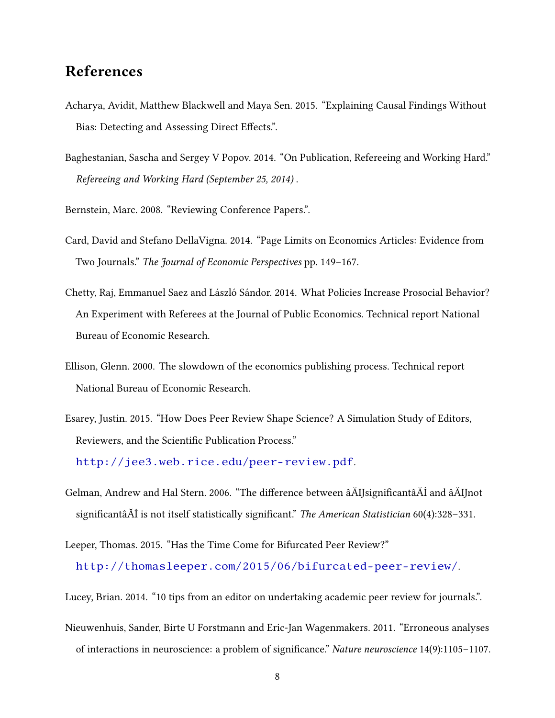## References

- <span id="page-7-0"></span>Acharya, Avidit, Matthew Blackwell and Maya Sen. 2015. "Explaining Causal Findings Without Bias: Detecting and Assessing Direct Effects.".
- <span id="page-7-6"></span>Baghestanian, Sascha and Sergey V Popov. 2014. "On Publication, Refereeing and Working Hard." Refereeing and Working Hard (September 25, 2014) .

<span id="page-7-8"></span>Bernstein, Marc. 2008. "Reviewing Conference Papers.".

- <span id="page-7-3"></span>Card, David and Stefano DellaVigna. 2014. "Page Limits on Economics Articles: Evidence from Two Journals." The Journal of Economic Perspectives pp. 149–167.
- <span id="page-7-10"></span>Chetty, Raj, Emmanuel Saez and László Sándor. 2014. What Policies Increase Prosocial Behavior? An Experiment with Referees at the Journal of Public Economics. Technical report National Bureau of Economic Research.
- <span id="page-7-4"></span>Ellison, Glenn. 2000. The slowdown of the economics publishing process. Technical report National Bureau of Economic Research.
- <span id="page-7-7"></span>Esarey, Justin. 2015. "How Does Peer Review Shape Science? A Simulation Study of Editors, Reviewers, and the Scientific Publication Process."

<http://jee3.web.rice.edu/peer-review.pdf>.

- <span id="page-7-2"></span>Gelman, Andrew and Hal Stern. 2006. "The difference between âĂIJsignificantâĂİ and âĂIJnot significantâĂİ is not itself statistically significant." The American Statistician 60(4):328-331.
- <span id="page-7-5"></span>Leeper, Thomas. 2015. "Has the Time Come for Bifurcated Peer Review?" <http://thomasleeper.com/2015/06/bifurcated-peer-review/>.

<span id="page-7-9"></span>Lucey, Brian. 2014. "10 tips from an editor on undertaking academic peer review for journals.".

<span id="page-7-1"></span>Nieuwenhuis, Sander, Birte U Forstmann and Eric-Jan Wagenmakers. 2011. "Erroneous analyses of interactions in neuroscience: a problem of significance." Nature neuroscience 14(9):1105-1107.